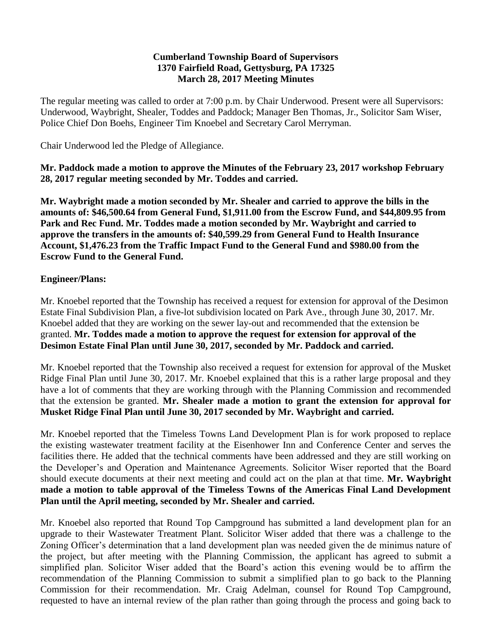#### **Cumberland Township Board of Supervisors 1370 Fairfield Road, Gettysburg, PA 17325 March 28, 2017 Meeting Minutes**

The regular meeting was called to order at 7:00 p.m. by Chair Underwood. Present were all Supervisors: Underwood, Waybright, Shealer, Toddes and Paddock; Manager Ben Thomas, Jr., Solicitor Sam Wiser, Police Chief Don Boehs, Engineer Tim Knoebel and Secretary Carol Merryman.

Chair Underwood led the Pledge of Allegiance.

**Mr. Paddock made a motion to approve the Minutes of the February 23, 2017 workshop February 28, 2017 regular meeting seconded by Mr. Toddes and carried.**

**Mr. Waybright made a motion seconded by Mr. Shealer and carried to approve the bills in the amounts of: \$46,500.64 from General Fund, \$1,911.00 from the Escrow Fund, and \$44,809.95 from Park and Rec Fund. Mr. Toddes made a motion seconded by Mr. Waybright and carried to approve the transfers in the amounts of: \$40,599.29 from General Fund to Health Insurance Account, \$1,476.23 from the Traffic Impact Fund to the General Fund and \$980.00 from the Escrow Fund to the General Fund.**

### **Engineer/Plans:**

Mr. Knoebel reported that the Township has received a request for extension for approval of the Desimon Estate Final Subdivision Plan, a five-lot subdivision located on Park Ave., through June 30, 2017. Mr. Knoebel added that they are working on the sewer lay-out and recommended that the extension be granted. **Mr. Toddes made a motion to approve the request for extension for approval of the Desimon Estate Final Plan until June 30, 2017, seconded by Mr. Paddock and carried.**

Mr. Knoebel reported that the Township also received a request for extension for approval of the Musket Ridge Final Plan until June 30, 2017. Mr. Knoebel explained that this is a rather large proposal and they have a lot of comments that they are working through with the Planning Commission and recommended that the extension be granted. **Mr. Shealer made a motion to grant the extension for approval for Musket Ridge Final Plan until June 30, 2017 seconded by Mr. Waybright and carried.**

Mr. Knoebel reported that the Timeless Towns Land Development Plan is for work proposed to replace the existing wastewater treatment facility at the Eisenhower Inn and Conference Center and serves the facilities there. He added that the technical comments have been addressed and they are still working on the Developer's and Operation and Maintenance Agreements. Solicitor Wiser reported that the Board should execute documents at their next meeting and could act on the plan at that time. **Mr. Waybright made a motion to table approval of the Timeless Towns of the Americas Final Land Development Plan until the April meeting, seconded by Mr. Shealer and carried.**

Mr. Knoebel also reported that Round Top Campground has submitted a land development plan for an upgrade to their Wastewater Treatment Plant. Solicitor Wiser added that there was a challenge to the Zoning Officer's determination that a land development plan was needed given the de minimus nature of the project, but after meeting with the Planning Commission, the applicant has agreed to submit a simplified plan. Solicitor Wiser added that the Board's action this evening would be to affirm the recommendation of the Planning Commission to submit a simplified plan to go back to the Planning Commission for their recommendation. Mr. Craig Adelman, counsel for Round Top Campground, requested to have an internal review of the plan rather than going through the process and going back to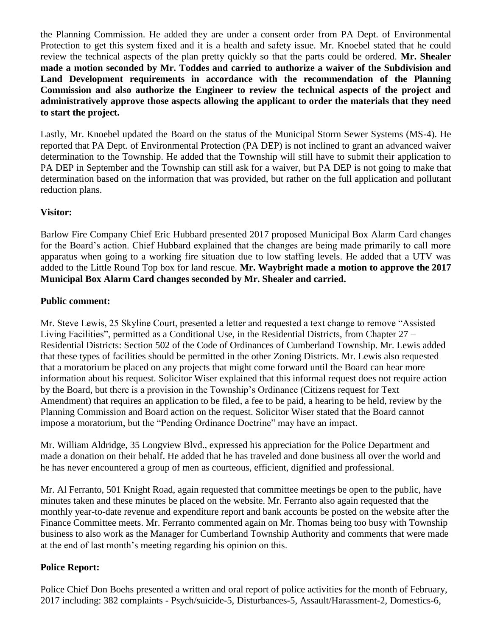the Planning Commission. He added they are under a consent order from PA Dept. of Environmental Protection to get this system fixed and it is a health and safety issue. Mr. Knoebel stated that he could review the technical aspects of the plan pretty quickly so that the parts could be ordered. **Mr. Shealer made a motion seconded by Mr. Toddes and carried to authorize a waiver of the Subdivision and Land Development requirements in accordance with the recommendation of the Planning Commission and also authorize the Engineer to review the technical aspects of the project and administratively approve those aspects allowing the applicant to order the materials that they need to start the project.**

Lastly, Mr. Knoebel updated the Board on the status of the Municipal Storm Sewer Systems (MS-4). He reported that PA Dept. of Environmental Protection (PA DEP) is not inclined to grant an advanced waiver determination to the Township. He added that the Township will still have to submit their application to PA DEP in September and the Township can still ask for a waiver, but PA DEP is not going to make that determination based on the information that was provided, but rather on the full application and pollutant reduction plans.

## **Visitor:**

Barlow Fire Company Chief Eric Hubbard presented 2017 proposed Municipal Box Alarm Card changes for the Board's action. Chief Hubbard explained that the changes are being made primarily to call more apparatus when going to a working fire situation due to low staffing levels. He added that a UTV was added to the Little Round Top box for land rescue. **Mr. Waybright made a motion to approve the 2017 Municipal Box Alarm Card changes seconded by Mr. Shealer and carried.**

### **Public comment:**

Mr. Steve Lewis, 25 Skyline Court, presented a letter and requested a text change to remove "Assisted Living Facilities", permitted as a Conditional Use, in the Residential Districts, from Chapter 27 – Residential Districts: Section 502 of the Code of Ordinances of Cumberland Township. Mr. Lewis added that these types of facilities should be permitted in the other Zoning Districts. Mr. Lewis also requested that a moratorium be placed on any projects that might come forward until the Board can hear more information about his request. Solicitor Wiser explained that this informal request does not require action by the Board, but there is a provision in the Township's Ordinance (Citizens request for Text Amendment) that requires an application to be filed, a fee to be paid, a hearing to be held, review by the Planning Commission and Board action on the request. Solicitor Wiser stated that the Board cannot impose a moratorium, but the "Pending Ordinance Doctrine" may have an impact.

Mr. William Aldridge, 35 Longview Blvd., expressed his appreciation for the Police Department and made a donation on their behalf. He added that he has traveled and done business all over the world and he has never encountered a group of men as courteous, efficient, dignified and professional.

Mr. Al Ferranto, 501 Knight Road, again requested that committee meetings be open to the public, have minutes taken and these minutes be placed on the website. Mr. Ferranto also again requested that the monthly year-to-date revenue and expenditure report and bank accounts be posted on the website after the Finance Committee meets. Mr. Ferranto commented again on Mr. Thomas being too busy with Township business to also work as the Manager for Cumberland Township Authority and comments that were made at the end of last month's meeting regarding his opinion on this.

### **Police Report:**

Police Chief Don Boehs presented a written and oral report of police activities for the month of February, 2017 including: 382 complaints - Psych/suicide-5, Disturbances-5, Assault/Harassment-2, Domestics-6,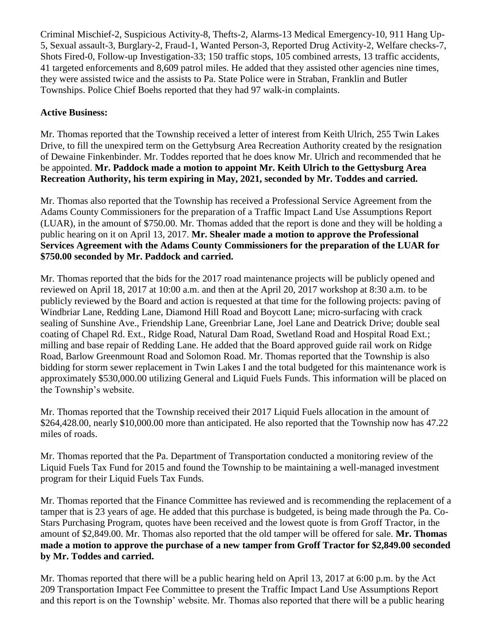Criminal Mischief-2, Suspicious Activity-8, Thefts-2, Alarms-13 Medical Emergency-10, 911 Hang Up-5, Sexual assault-3, Burglary-2, Fraud-1, Wanted Person-3, Reported Drug Activity-2, Welfare checks-7, Shots Fired-0, Follow-up Investigation-33; 150 traffic stops, 105 combined arrests, 13 traffic accidents, 41 targeted enforcements and 8,609 patrol miles. He added that they assisted other agencies nine times, they were assisted twice and the assists to Pa. State Police were in Straban, Franklin and Butler Townships. Police Chief Boehs reported that they had 97 walk-in complaints.

# **Active Business:**

Mr. Thomas reported that the Township received a letter of interest from Keith Ulrich, 255 Twin Lakes Drive, to fill the unexpired term on the Gettybsurg Area Recreation Authority created by the resignation of Dewaine Finkenbinder. Mr. Toddes reported that he does know Mr. Ulrich and recommended that he be appointed. **Mr. Paddock made a motion to appoint Mr. Keith Ulrich to the Gettysburg Area Recreation Authority, his term expiring in May, 2021, seconded by Mr. Toddes and carried.**

Mr. Thomas also reported that the Township has received a Professional Service Agreement from the Adams County Commissioners for the preparation of a Traffic Impact Land Use Assumptions Report (LUAR), in the amount of \$750.00. Mr. Thomas added that the report is done and they will be holding a public hearing on it on April 13, 2017. **Mr. Shealer made a motion to approve the Professional Services Agreement with the Adams County Commissioners for the preparation of the LUAR for \$750.00 seconded by Mr. Paddock and carried.**

Mr. Thomas reported that the bids for the 2017 road maintenance projects will be publicly opened and reviewed on April 18, 2017 at 10:00 a.m. and then at the April 20, 2017 workshop at 8:30 a.m. to be publicly reviewed by the Board and action is requested at that time for the following projects: paving of Windbriar Lane, Redding Lane, Diamond Hill Road and Boycott Lane; micro-surfacing with crack sealing of Sunshine Ave., Friendship Lane, Greenbriar Lane, Joel Lane and Deatrick Drive; double seal coating of Chapel Rd. Ext., Ridge Road, Natural Dam Road, Swetland Road and Hospital Road Ext.; milling and base repair of Redding Lane. He added that the Board approved guide rail work on Ridge Road, Barlow Greenmount Road and Solomon Road. Mr. Thomas reported that the Township is also bidding for storm sewer replacement in Twin Lakes I and the total budgeted for this maintenance work is approximately \$530,000.00 utilizing General and Liquid Fuels Funds. This information will be placed on the Township's website.

Mr. Thomas reported that the Township received their 2017 Liquid Fuels allocation in the amount of \$264,428.00, nearly \$10,000.00 more than anticipated. He also reported that the Township now has 47.22 miles of roads.

Mr. Thomas reported that the Pa. Department of Transportation conducted a monitoring review of the Liquid Fuels Tax Fund for 2015 and found the Township to be maintaining a well-managed investment program for their Liquid Fuels Tax Funds.

Mr. Thomas reported that the Finance Committee has reviewed and is recommending the replacement of a tamper that is 23 years of age. He added that this purchase is budgeted, is being made through the Pa. Co-Stars Purchasing Program, quotes have been received and the lowest quote is from Groff Tractor, in the amount of \$2,849.00. Mr. Thomas also reported that the old tamper will be offered for sale. **Mr. Thomas made a motion to approve the purchase of a new tamper from Groff Tractor for \$2,849.00 seconded by Mr. Toddes and carried.**

Mr. Thomas reported that there will be a public hearing held on April 13, 2017 at 6:00 p.m. by the Act 209 Transportation Impact Fee Committee to present the Traffic Impact Land Use Assumptions Report and this report is on the Township' website. Mr. Thomas also reported that there will be a public hearing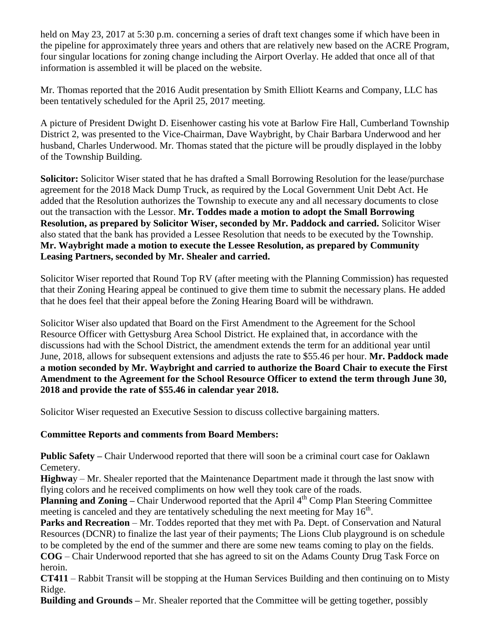held on May 23, 2017 at 5:30 p.m. concerning a series of draft text changes some if which have been in the pipeline for approximately three years and others that are relatively new based on the ACRE Program, four singular locations for zoning change including the Airport Overlay. He added that once all of that information is assembled it will be placed on the website.

Mr. Thomas reported that the 2016 Audit presentation by Smith Elliott Kearns and Company, LLC has been tentatively scheduled for the April 25, 2017 meeting.

A picture of President Dwight D. Eisenhower casting his vote at Barlow Fire Hall, Cumberland Township District 2, was presented to the Vice-Chairman, Dave Waybright, by Chair Barbara Underwood and her husband, Charles Underwood. Mr. Thomas stated that the picture will be proudly displayed in the lobby of the Township Building.

**Solicitor:** Solicitor Wiser stated that he has drafted a Small Borrowing Resolution for the lease/purchase agreement for the 2018 Mack Dump Truck, as required by the Local Government Unit Debt Act. He added that the Resolution authorizes the Township to execute any and all necessary documents to close out the transaction with the Lessor. **Mr. Toddes made a motion to adopt the Small Borrowing Resolution, as prepared by Solicitor Wiser, seconded by Mr. Paddock and carried.** Solicitor Wiser also stated that the bank has provided a Lessee Resolution that needs to be executed by the Township. **Mr. Waybright made a motion to execute the Lessee Resolution, as prepared by Community Leasing Partners, seconded by Mr. Shealer and carried.**

Solicitor Wiser reported that Round Top RV (after meeting with the Planning Commission) has requested that their Zoning Hearing appeal be continued to give them time to submit the necessary plans. He added that he does feel that their appeal before the Zoning Hearing Board will be withdrawn.

Solicitor Wiser also updated that Board on the First Amendment to the Agreement for the School Resource Officer with Gettysburg Area School District. He explained that, in accordance with the discussions had with the School District, the amendment extends the term for an additional year until June, 2018, allows for subsequent extensions and adjusts the rate to \$55.46 per hour. **Mr. Paddock made a motion seconded by Mr. Waybright and carried to authorize the Board Chair to execute the First Amendment to the Agreement for the School Resource Officer to extend the term through June 30, 2018 and provide the rate of \$55.46 in calendar year 2018.** 

Solicitor Wiser requested an Executive Session to discuss collective bargaining matters.

# **Committee Reports and comments from Board Members:**

**Public Safety –** Chair Underwood reported that there will soon be a criminal court case for Oaklawn Cemetery.

**Highwa**y – Mr. Shealer reported that the Maintenance Department made it through the last snow with flying colors and he received compliments on how well they took care of the roads.

**Planning and Zoning –** Chair Underwood reported that the April 4<sup>th</sup> Comp Plan Steering Committee meeting is canceled and they are tentatively scheduling the next meeting for May 16<sup>th</sup>.

**Parks and Recreation** – Mr. Toddes reported that they met with Pa. Dept. of Conservation and Natural Resources (DCNR) to finalize the last year of their payments; The Lions Club playground is on schedule to be completed by the end of the summer and there are some new teams coming to play on the fields.

**COG** – Chair Underwood reported that she has agreed to sit on the Adams County Drug Task Force on heroin.

**CT411** – Rabbit Transit will be stopping at the Human Services Building and then continuing on to Misty Ridge.

**Building and Grounds –** Mr. Shealer reported that the Committee will be getting together, possibly